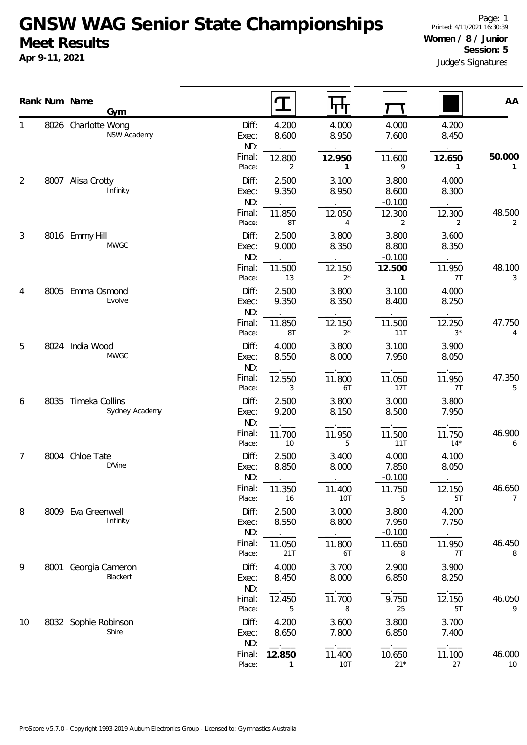|    |      | Rank Num Name<br>Gym                  |                       | $\mathbf T$            | पा                       |                            |                        | AA           |
|----|------|---------------------------------------|-----------------------|------------------------|--------------------------|----------------------------|------------------------|--------------|
| 1  |      | 8026 Charlotte Wong<br>NSW Academy    | Diff:<br>Exec:<br>ND: | 4.200<br>8.600         | 4.000<br>8.950           | 4.000<br>7.600             | 4.200<br>8.450         |              |
|    |      |                                       | Final:<br>Place:      | 12.800<br>2            | 12.950<br>1              | 11.600<br>9                | 12.650<br>$\mathbf{1}$ | 50.000<br>1  |
| 2  | 8007 | Alisa Crotty<br>Infinity              | Diff:<br>Exec:<br>ND: | 2.500<br>9.350         | 3.100<br>8.950           | 3.800<br>8.600<br>$-0.100$ | 4.000<br>8.300         |              |
|    |      |                                       | Final:<br>Place:      | 11.850<br>8T           | 12.050<br>$\overline{4}$ | 12.300<br>2                | 12.300<br>2            | 48.500<br>2  |
| 3  |      | 8016 Emmy Hill<br><b>MWGC</b>         | Diff:<br>Exec:<br>ND: | 2.500<br>9.000         | 3.800<br>8.350           | 3.800<br>8.800<br>$-0.100$ | 3.600<br>8.350         |              |
|    |      |                                       | Final:<br>Place:      | 11.500<br>13           | 12.150<br>$2^*$          | 12.500<br>$\mathbf{1}$     | 11.950<br>7T           | 48.100<br>3  |
| 4  |      | 8005 Emma Osmond<br>Evolve            | Diff:<br>Exec:<br>ND: | 2.500<br>9.350         | 3.800<br>8.350           | 3.100<br>8.400             | 4.000<br>8.250         |              |
|    |      |                                       | Final:<br>Place:      | 11.850<br>8T           | 12.150<br>$2^*$          | 11.500<br>11T              | 12.250<br>$3^{\star}$  | 47.750<br>4  |
| 5  | 8024 | India Wood<br><b>MWGC</b>             | Diff:<br>Exec:<br>ND: | 4.000<br>8.550         | 3.800<br>8.000           | 3.100<br>7.950             | 3.900<br>8.050         |              |
|    |      |                                       | Final:<br>Place:      | 12.550<br>3            | 11.800<br>6T             | 11.050<br>17T              | 11.950<br>7T           | 47.350<br>5  |
| 6  |      | 8035 Timeka Collins<br>Sydney Academy | Diff:<br>Exec:<br>ND: | 2.500<br>9.200         | 3.800<br>8.150           | 3.000<br>8.500             | 3.800<br>7.950         |              |
|    |      |                                       | Final:<br>Place:      | 11.700<br>10           | 11.950<br>5              | 11.500<br>11T              | 11.750<br>$14*$        | 46.900<br>6  |
| 7  |      | 8004 Chloe Tate<br>D'Vine             | Diff:<br>Exec:<br>ND: | 2.500<br>8.850         | 3.400<br>8.000           | 4.000<br>7.850<br>$-0.100$ | 4.100<br>8.050         |              |
|    |      |                                       | Final:<br>Place:      | 11.350<br>16           | 11.400<br>10T            | 11.750<br>5                | 12.150<br>5T           | 46.650<br>7  |
| 8  |      | 8009 Eva Greenwell<br>Infinity        | Diff:<br>Exec:<br>ND: | 2.500<br>8.550         | 3.000<br>8.800           | 3.800<br>7.950<br>$-0.100$ | 4.200<br>7.750         |              |
|    |      |                                       | Final:<br>Place:      | 11.050<br>21T          | 11.800<br>6T             | 11.650<br>8                | 11.950<br>7T           | 46.450<br>8  |
| 9  |      | 8001 Georgia Cameron<br>Blackert      | Diff:<br>Exec:<br>ND: | 4.000<br>8.450         | 3.700<br>8.000           | 2.900<br>6.850             | 3.900<br>8.250         |              |
|    |      |                                       | Final:<br>Place:      | 12.450<br>5            | 11.700<br>8              | 9.750<br>25                | 12.150<br>5T           | 46.050<br>9  |
| 10 |      | 8032 Sophie Robinson<br>Shire         | Diff:<br>Exec:<br>ND: | 4.200<br>8.650         | 3.600<br>7.800           | 3.800<br>6.850             | 3.700<br>7.400         |              |
|    |      |                                       | Final:<br>Place:      | 12.850<br>$\mathbf{1}$ | 11.400<br>10T            | 10.650<br>$21*$            | 11.100<br>27           | 46.000<br>10 |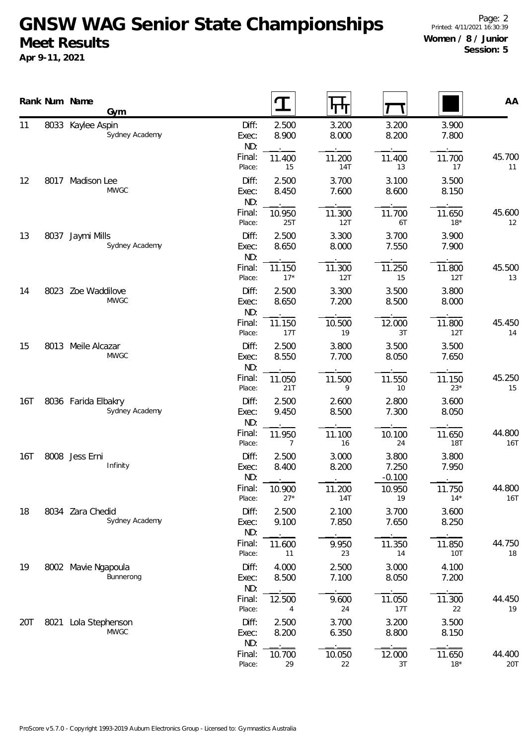|     |      | Rank Num Name<br>Gym                  |                       | ′               | पग                   |                            |                      | AA                   |
|-----|------|---------------------------------------|-----------------------|-----------------|----------------------|----------------------------|----------------------|----------------------|
| 11  |      | 8033 Kaylee Aspin<br>Sydney Academy   | Diff:<br>Exec:<br>ND: | 2.500<br>8.900  | 3.200<br>8.000       | 3.200<br>8.200             | 3.900<br>7.800       |                      |
|     |      |                                       | Final:<br>Place:      | 11.400<br>15    | 11.200<br><b>14T</b> | 11.400<br>13               | 11.700<br>17         | 45.700<br>11         |
| 12  |      | 8017 Madison Lee<br><b>MWGC</b>       | Diff:<br>Exec:<br>ND: | 2.500<br>8.450  | 3.700<br>7.600       | 3.100<br>8.600             | 3.500<br>8.150       |                      |
|     |      |                                       | Final:<br>Place:      | 10.950<br>25T   | 11.300<br>12T        | 11.700<br>6T               | 11.650<br>$18*$      | 45.600<br>12         |
| 13  |      | 8037 Jaymi Mills<br>Sydney Academy    | Diff:<br>Exec:<br>ND: | 2.500<br>8.650  | 3.300<br>8.000       | 3.700<br>7.550             | 3.900<br>7.900       |                      |
|     |      |                                       | Final:<br>Place:      | 11.150<br>$17*$ | 11.300<br>12T        | 11.250<br>15               | 11.800<br>12T        | 45.500<br>13         |
| 14  |      | 8023 Zoe Waddilove<br><b>MWGC</b>     | Diff:<br>Exec:<br>ND: | 2.500<br>8.650  | 3.300<br>7.200       | 3.500<br>8.500             | 3.800<br>8.000       |                      |
|     |      |                                       | Final:<br>Place:      | 11.150<br>17T   | 10.500<br>19         | 12.000<br>3T               | 11.800<br>12T        | 45.450<br>14         |
| 15  |      | 8013 Meile Alcazar<br><b>MWGC</b>     | Diff:<br>Exec:<br>ND: | 2.500<br>8.550  | 3.800<br>7.700       | 3.500<br>8.050             | 3.500<br>7.650       |                      |
|     |      |                                       | Final:<br>Place:      | 11.050<br>21T   | 11.500<br>9          | 11.550<br>10               | 11.150<br>$23*$      | 45.250<br>15         |
| 16T |      | 8036 Farida Elbakry<br>Sydney Academy | Diff:<br>Exec:<br>ND: | 2.500<br>9.450  | 2.600<br>8.500       | 2.800<br>7.300             | 3.600<br>8.050       |                      |
|     |      |                                       | Final:<br>Place:      | 11.950<br>7     | 11.100<br>16         | 10.100<br>24               | 11.650<br><b>18T</b> | 44.800<br><b>16T</b> |
| 16T |      | 8008 Jess Erni<br>Infinity            | Diff:<br>Exec:<br>ND: | 2.500<br>8.400  | 3.000<br>8.200       | 3.800<br>7.250<br>$-0.100$ | 3.800<br>7.950       |                      |
|     |      |                                       | Final:<br>Place:      | 10.900<br>$27*$ | 11.200<br><b>14T</b> | 10.950<br>19               | 11.750<br>$14*$      | 44.800<br><b>16T</b> |
| 18  |      | 8034 Zara Chedid<br>Sydney Academy    | Diff:<br>Exec:<br>ND: | 2.500<br>9.100  | 2.100<br>7.850       | 3.700<br>7.650             | 3.600<br>8.250       |                      |
|     |      |                                       | Final:<br>Place:      | 11.600<br>11    | 9.950<br>23          | 11.350<br>14               | 11.850<br>10T        | 44.750<br>18         |
| 19  |      | 8002 Mavie Ngapoula<br>Bunnerong      | Diff:<br>Exec:<br>ND: | 4.000<br>8.500  | 2.500<br>7.100       | 3.000<br>8.050             | 4.100<br>7.200       |                      |
|     |      |                                       | Final:<br>Place:      | 12.500<br>4     | 9.600<br>24          | 11.050<br>17T              | 11.300<br>22         | 44.450<br>19         |
| 20T | 8021 | Lola Stephenson<br><b>MWGC</b>        | Diff:<br>Exec:<br>ND: | 2.500<br>8.200  | 3.700<br>6.350       | 3.200<br>8.800             | 3.500<br>8.150       |                      |
|     |      |                                       | Final:<br>Place:      | 10.700<br>29    | 10.050<br>22         | 12.000<br>3T               | 11.650<br>$18*$      | 44.400<br><b>20T</b> |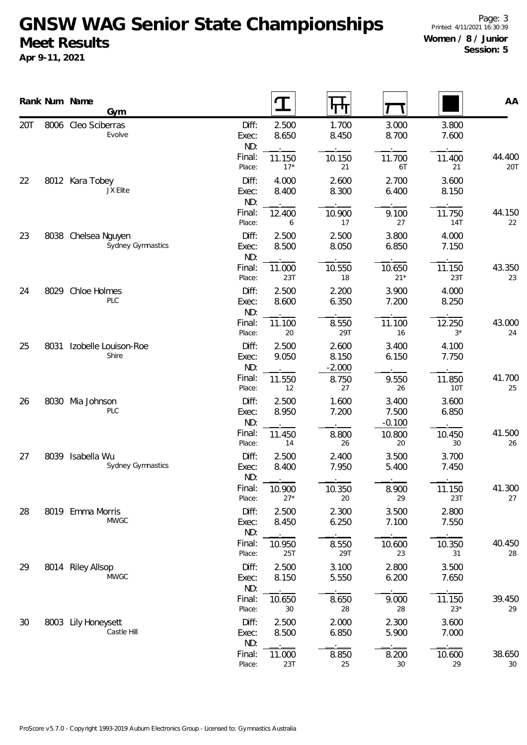|     |      | Rank Num Name<br>Gym                     |                       | I               | पाण                        |                            |                      | AA                   |
|-----|------|------------------------------------------|-----------------------|-----------------|----------------------------|----------------------------|----------------------|----------------------|
| 20T |      | 8006 Cleo Sciberras<br>Evolve            | Diff:<br>Exec:<br>ND: | 2.500<br>8.650  | 1.700<br>8.450             | 3.000<br>8.700             | 3.800<br>7.600       |                      |
|     |      |                                          | Final:<br>Place:      | 11.150<br>$17*$ | 10.150<br>21               | 11.700<br>6T               | 11.400<br>21         | 44.400<br><b>20T</b> |
| 22  |      | 8012 Kara Tobey<br>JX Elite              | Diff:<br>Exec:<br>ND: | 4.000<br>8.400  | 2.600<br>8.300             | 2.700<br>6.400             | 3.600<br>8.150       |                      |
|     |      |                                          | Final:<br>Place:      | 12.400<br>6     | 10.900<br>17               | 9.100<br>27                | 11.750<br><b>14T</b> | 44.150<br>22         |
| 23  |      | 8038 Chelsea Nguyen<br>Sydney Gymnastics | Diff:<br>Exec:<br>ND: | 2.500<br>8.500  | 2.500<br>8.050             | 3.800<br>6.850             | 4.000<br>7.150       |                      |
|     |      |                                          | Final:<br>Place:      | 11.000<br>23T   | 10.550<br>18               | 10.650<br>$21*$            | 11.150<br>23T        | 43.350<br>23         |
| 24  |      | 8029 Chloe Holmes<br>PLC                 | Diff:<br>Exec:<br>ND: | 2.500<br>8.600  | 2.200<br>6.350             | 3.900<br>7.200             | 4.000<br>8.250       |                      |
|     |      |                                          | Final:<br>Place:      | 11.100<br>20    | 8.550<br>29T               | 11.100<br>16               | 12.250<br>$3^*$      | 43.000<br>24         |
| 25  | 8031 | Izobelle Louison-Roe<br>Shire            | Diff:<br>Exec:<br>ND: | 2.500<br>9.050  | 2.600<br>8.150<br>$-2.000$ | 3.400<br>6.150             | 4.100<br>7.750       |                      |
|     |      |                                          | Final:<br>Place:      | 11.550<br>12    | 8.750<br>27                | 9.550<br>26                | 11.850<br>10T        | 41.700<br>25         |
| 26  | 8030 | Mia Johnson<br><b>PLC</b>                | Diff:<br>Exec:<br>ND: | 2.500<br>8.950  | 1.600<br>7.200             | 3.400<br>7.500<br>$-0.100$ | 3.600<br>6.850       |                      |
|     |      |                                          | Final:<br>Place:      | 11.450<br>14    | 8.800<br>26                | 10.800<br>20               | 10.450<br>30         | 41.500<br>26         |
| 27  |      | 8039 Isabella Wu<br>Sydney Gymnastics    | Diff:<br>Exec:<br>ND: | 2.500<br>8.400  | 2.400<br>7.950             | 3.500<br>5.400             | 3.700<br>7.450       |                      |
|     |      |                                          | Final:<br>Place:      | 10.900<br>$27*$ | 10.350<br>20               | 8.900<br>29                | 11.150<br>23T        | 41.300<br>27         |
| 28  |      | 8019 Emma Morris<br><b>MWGC</b>          | Diff:<br>Exec:<br>ND: | 2.500<br>8.450  | 2.300<br>6.250             | 3.500<br>7.100             | 2.800<br>7.550       |                      |
|     |      |                                          | Final:<br>Place:      | 10.950<br>25T   | 8.550<br>29T               | 10.600<br>23               | 10.350<br>31         | 40.450<br>28         |
| 29  |      | 8014 Riley Allsop<br><b>MWGC</b>         | Diff:<br>Exec:<br>ND: | 2.500<br>8.150  | 3.100<br>5.550             | 2.800<br>6.200             | 3.500<br>7.650       |                      |
|     |      |                                          | Final:<br>Place:      | 10.650<br>30    | 8.650<br>28                | 9.000<br>28                | 11.150<br>$23*$      | 39.450<br>29         |
| 30  |      | 8003 Lily Honeysett<br>Castle Hill       | Diff:<br>Exec:<br>ND: | 2.500<br>8.500  | 2.000<br>6.850             | 2.300<br>5.900             | 3.600<br>7.000       |                      |
|     |      |                                          | Final:<br>Place:      | 11.000<br>23T   | 8.850<br>25                | 8.200<br>30                | 10.600<br>29         | 38.650<br>$30\,$     |